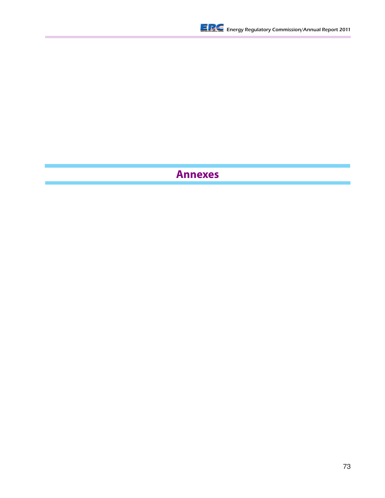

# **Annexes**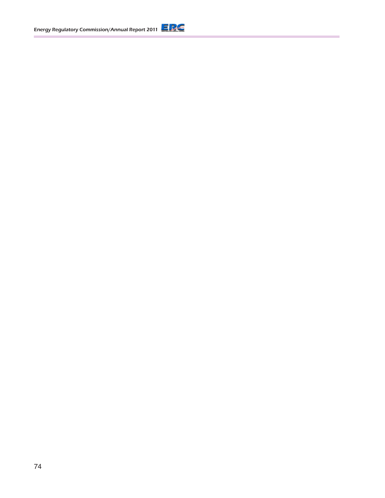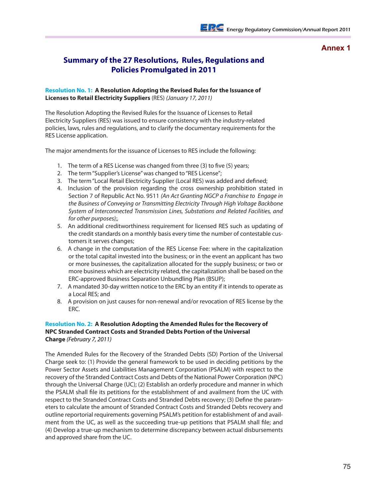# **Annex 1**

# **Summary of the 27 Resolutions, Rules, Regulations and Policies Promulgated in 2011**

## **Resolution No. 1: A Resolution Adopting the Revised Rules for the Issuance of Licenses to Retail Electricity Suppliers** (RES) *(January 17, 2011)*

The Resolution Adopting the Revised Rules for the Issuance of Licenses to Retail Electricity Suppliers (RES) was issued to ensure consistency with the industry-related policies, laws, rules and regulations, and to clarify the documentary requirements for the RES License application.

The major amendments for the issuance of Licenses to RES include the following:

- 1. The term of a RES License was changed from three (3) to five (5) years;
- 2. The term "Supplier's License" was changed to "RES License";
- 3. The term "Local Retail Electricity Supplier (Local RES) was added and defined;
- 4. Inclusion of the provision regarding the cross ownership prohibition stated in Section 7 of Republic Act No. 9511 *(An Act Granting NGCP a Franchise to Engage in the Business of Conveying or Transmitting Electricity Through High Voltage Backbone System of Interconnected Transmission Lines, Substations and Related Facilities, and for other purposes);,*
- 5. An additional creditworthiness requirement for licensed RES such as updating of the credit standards on a monthly basis every time the number of contestable customers it serves changes;
- 6. A change in the computation of the RES License Fee: where in the capitalization or the total capital invested into the business; or in the event an applicant has two or more businesses, the capitalization allocated for the supply business; or two or more business which are electricity related, the capitalization shall be based on the ERC-approved Business Separation Unbundling Plan (BSUP);
- 7. A mandated 30-day written notice to the ERC by an entity if it intends to operate as a Local RES; and
- 8. A provision on just causes for non-renewal and/or revocation of RES license by the ERC.

## **Resolution No. 2: A Resolution Adopting the Amended Rules for the Recovery of NPC Stranded Contract Costs and Stranded Debts Portion of the Universal Charge** *(February 7, 2011)*

The Amended Rules for the Recovery of the Stranded Debts (SD) Portion of the Universal Charge seek to: (1) Provide the general framework to be used in deciding petitions by the Power Sector Assets and Liabilities Management Corporation (PSALM) with respect to the recovery of the Stranded Contract Costs and Debts of the National Power Corporation (NPC) through the Universal Charge (UC); (2) Establish an orderly procedure and manner in which the PSALM shall file its petitions for the establishment of and availment from the UC with respect to the Stranded Contract Costs and Stranded Debts recovery; (3) Define the parameters to calculate the amount of Stranded Contract Costs and Stranded Debts recovery and outline reportorial requirements governing PSALM's petition for establishment of and availment from the UC, as well as the succeeding true-up petitions that PSALM shall file; and (4) Develop a true-up mechanism to determine discrepancy between actual disbursements and approved share from the UC.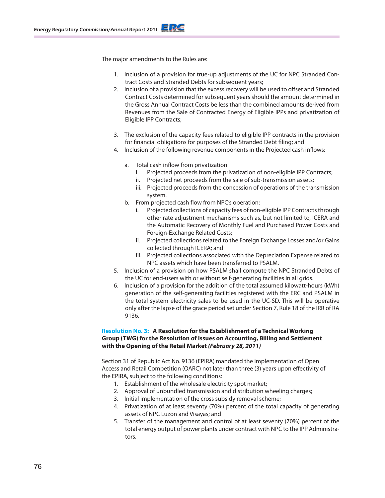The major amendments to the Rules are:

- 1. Inclusion of a provision for true-up adjustments of the UC for NPC Stranded Contract Costs and Stranded Debts for subsequent years;
- 2. Inclusion of a provision that the excess recovery will be used to offset and Stranded Contract Costs determined for subsequent years should the amount determined in the Gross Annual Contract Costs be less than the combined amounts derived from Revenues from the Sale of Contracted Energy of Eligible IPPs and privatization of Eligible IPP Contracts;
- 3. The exclusion of the capacity fees related to eligible IPP contracts in the provision for financial obligations for purposes of the Stranded Debt filing; and
- 4. Inclusion of the following revenue components in the Projected cash inflows:
	- a. Total cash inflow from privatization
		- i. Projected proceeds from the privatization of non-eligible IPP Contracts;
		- ii. Projected net proceeds from the sale of sub-transmission assets;
		- iii. Projected proceeds from the concession of operations of the transmission system.
	- b. From projected cash flow from NPC's operation:
		- i. Projected collections of capacity fees of non-eligible IPP Contracts through other rate adjustment mechanisms such as, but not limited to, ICERA and the Automatic Recovery of Monthly Fuel and Purchased Power Costs and Foreign-Exchange Related Costs;
		- ii. Projected collections related to the Foreign Exchange Losses and/or Gains collected through ICERA; and
		- iii. Projected collections associated with the Depreciation Expense related to NPC assets which have been transferred to PSALM.
- 5. Inclusion of a provision on how PSALM shall compute the NPC Stranded Debts of the UC for end-users with or without self-generating facilities in all grids.
- 6. Inclusion of a provision for the addition of the total assumed kilowatt-hours (kWh) generation of the self-generating facilities registered with the ERC and PSALM in the total system electricity sales to be used in the UC-SD. This will be operative only after the lapse of the grace period set under Section 7, Rule 18 of the IRR of RA 9136.

#### **Resolution No. 3: A Resolution for the Establishment of a Technical Working Group (TWG) for the Resolution of Issues on Accounting, Billing and Settlement with the Opening of the Retail Market** *(February 28, 2011)*

Section 31 of Republic Act No. 9136 (EPIRA) mandated the implementation of Open Access and Retail Competition (OARC) not later than three (3) years upon effectivity of the EPIRA, subject to the following conditions:

- 1. Establishment of the wholesale electricity spot market;
- 2. Approval of unbundled transmission and distribution wheeling charges;
- 3. Initial implementation of the cross subsidy removal scheme;
- 4. Privatization of at least seventy (70%) percent of the total capacity of generating assets of NPC Luzon and Visayas; and
- 5. Transfer of the management and control of at least seventy (70%) percent of the total energy output of power plants under contract with NPC to the IPP Administrators.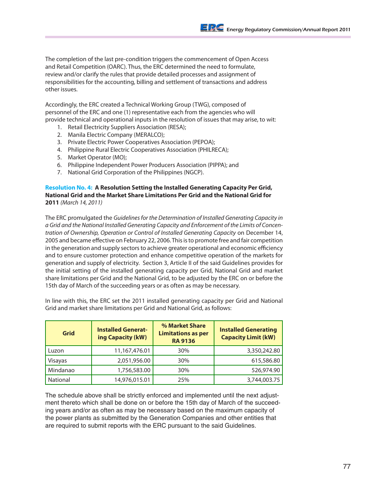The completion of the last pre-condition triggers the commencement of Open Access and Retail Competition (OARC). Thus, the ERC determined the need to formulate, review and/or clarify the rules that provide detailed processes and assignment of responsibilities for the accounting, billing and settlement of transactions and address other issues.

Accordingly, the ERC created a Technical Working Group (TWG), composed of personnel of the ERC and one (1) representative each from the agencies who will provide technical and operational inputs in the resolution of issues that may arise, to wit:

- 1. Retail Electricity Suppliers Association (RESA);
- 2. Manila Electric Company (MERALCO);
- 3. Private Electric Power Cooperatives Association (PEPOA);
- 4. Philippine Rural Electric Cooperatives Association (PHILRECA);
- 5. Market Operator (MO);
- 6. Philippine Independent Power Producers Association (PIPPA); and
- 7. National Grid Corporation of the Philippines (NGCP).

**Resolution No. 4: A Resolution Setting the Installed Generating Capacity Per Grid, National Grid and the Market Share Limitations Per Grid and the National Grid for 2011** *(March 14, 2011)*

The ERC promulgated the *Guidelines for the Determination of Installed Generating Capacity in a Grid and the National Installed Generating Capacity and Enforcement of the Limits of Concentration of Ownership, Operation or Control of Installed Generating Capacity* on December 14, 2005 and became effective on February 22, 2006. This is to promote free and fair competition in the generation and supply sectors to achieve greater operational and economic efficiency and to ensure customer protection and enhance competitive operation of the markets for generation and supply of electricity. Section 3, Article II of the said Guidelines provides for the initial setting of the installed generating capacity per Grid, National Grid and market share limitations per Grid and the National Grid, to be adjusted by the ERC on or before the 15th day of March of the succeeding years or as often as may be necessary.

In line with this, the ERC set the 2011 installed generating capacity per Grid and National Grid and market share limitations per Grid and National Grid, as follows:

| Grid            | <b>Installed Generat-</b><br>ing Capacity (kW) | % Market Share<br><b>Limitations as per</b><br><b>RA 9136</b> | <b>Installed Generating</b><br><b>Capacity Limit (kW)</b> |
|-----------------|------------------------------------------------|---------------------------------------------------------------|-----------------------------------------------------------|
| Luzon           | 11,167,476.01                                  | 30%                                                           | 3,350,242.80                                              |
| <b>Visayas</b>  | 2,051,956.00                                   | 30%                                                           | 615,586.80                                                |
| Mindanao        | 1,756,583.00                                   | 30%                                                           | 526,974.90                                                |
| <b>National</b> | 14,976,015.01                                  | 25%                                                           | 3,744,003.75                                              |

The schedule above shall be strictly enforced and implemented until the next adjustment thereto which shall be done on or before the 15th day of March of the succeeding years and/or as often as may be necessary based on the maximum capacity of the power plants as submitted by the Generation Companies and other entities that are required to submit reports with the ERC pursuant to the said Guidelines.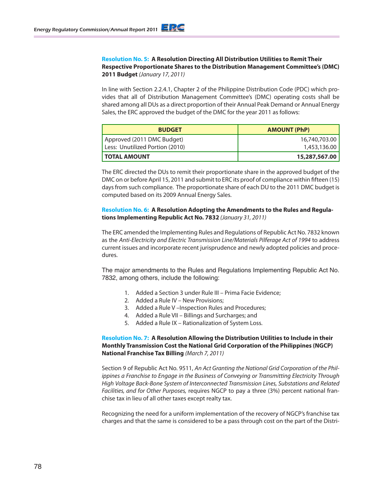#### **Resolution No. 5: A Resolution Directing All Distribution Utilities to Remit Their Respective Proportionate Shares to the Distribution Management Committee's (DMC) 2011 Budget** *(January 17, 2011)*

In line with Section 2.2.4.1, Chapter 2 of the Philippine Distribution Code (PDC) which provides that all of Distribution Management Committee's (DMC) operating costs shall be shared among all DUs as a direct proportion of their Annual Peak Demand or Annual Energy Sales, the ERC approved the budget of the DMC for the year 2011 as follows:

| <b>BUDGET</b>                                                 | <b>AMOUNT (PhP)</b>           |  |
|---------------------------------------------------------------|-------------------------------|--|
| Approved (2011 DMC Budget)<br>Less: Unutilized Portion (2010) | 16,740,703.00<br>1,453,136.00 |  |
| <b>TOTAL AMOUNT</b>                                           | 15,287,567.00                 |  |

The ERC directed the DUs to remit their proportionate share in the approved budget of the DMC on or before April 15, 2011 and submit to ERC its proof of compliance within fifteen (15) days from such compliance. The proportionate share of each DU to the 2011 DMC budget is computed based on its 2009 Annual Energy Sales.

#### **Resolution No. 6: A Resolution Adopting the Amendments to the Rules and Regulations Implementing Republic Act No. 7832** *(January 31, 2011)*

The ERC amended the Implementing Rules and Regulations of Republic Act No. 7832 known as the *Anti-Electricity and Electric Transmission Line/Materials Pilferage Act of 1994* to address current issues and incorporate recent jurisprudence and newly adopted policies and procedures.

The major amendments to the Rules and Regulations Implementing Republic Act No. 7832, among others, include the following:

- 1. Added a Section 3 under Rule III Prima Facie Evidence;
- 2. Added a Rule IV New Provisions;
- 3. Added a Rule V –Inspection Rules and Procedures;
- 4. Added a Rule VII Billings and Surcharges; and
- 5. Added a Rule IX Rationalization of System Loss.

#### **Resolution No. 7: A Resolution Allowing the Distribution Utilities to Include in their Monthly Transmission Cost the National Grid Corporation of the Philippines (NGCP) National Franchise Tax Billing** *(March 7, 2011)*

Section 9 of Republic Act No. 9511, *An Act Granting the National Grid Corporation of the Philippines a Franchise to Engage in the Business of Conveying or Transmitting Electricity Through High Voltage Back-Bone System of Interconnected Transmission Lines, Substations and Related Facilities, and for Other Purposes,* requires NGCP to pay a three (3%) percent national franchise tax in lieu of all other taxes except realty tax.

Recognizing the need for a uniform implementation of the recovery of NGCP's franchise tax charges and that the same is considered to be a pass through cost on the part of the Distri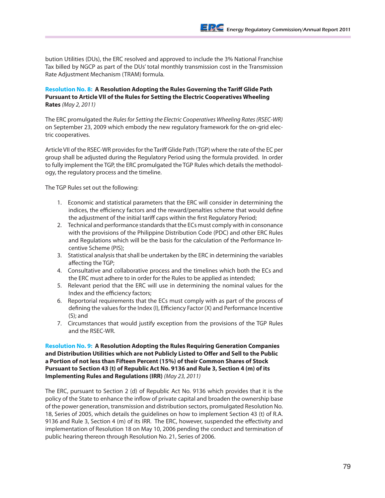bution Utilities (DUs), the ERC resolved and approved to include the 3% National Franchise Tax billed by NGCP as part of the DUs' total monthly transmission cost in the Transmission Rate Adjustment Mechanism (TRAM) formula.

#### **Resolution No. 8: A Resolution Adopting the Rules Governing the Tariff Glide Path Pursuant to Article VII of the Rules for Setting the Electric Cooperatives Wheeling Rates** *(May 2, 2011)*

The ERC promulgated the *Rules for Setting the Electric Cooperatives Wheeling Rates (RSEC-WR)*  on September 23, 2009 which embody the new regulatory framework for the on-grid electric cooperatives.

Article VII of the RSEC-WR provides for the Tariff Glide Path (TGP) where the rate of the EC per group shall be adjusted during the Regulatory Period using the formula provided. In order to fully implement the TGP, the ERC promulgated the TGP Rules which details the methodology, the regulatory process and the timeline.

The TGP Rules set out the following:

- 1. Economic and statistical parameters that the ERC will consider in determining the indices, the efficiency factors and the reward/penalties scheme that would define the adjustment of the initial tariff caps within the first Regulatory Period;
- 2. Technical and performance standards that the ECs must comply with in consonance with the provisions of the Philippine Distribution Code (PDC) and other ERC Rules and Regulations which will be the basis for the calculation of the Performance Incentive Scheme (PIS);
- 3. Statistical analysis that shall be undertaken by the ERC in determining the variables affecting the TGP;
- 4. Consultative and collaborative process and the timelines which both the ECs and the ERC must adhere to in order for the Rules to be applied as intended;
- 5. Relevant period that the ERC will use in determining the nominal values for the Index and the efficiency factors;
- 6. Reportorial requirements that the ECs must comply with as part of the process of defining the values for the Index (I), Efficiency Factor (X) and Performance Incentive (S); and
- 7. Circumstances that would justify exception from the provisions of the TGP Rules and the RSEC-WR.

**Resolution No. 9: A Resolution Adopting the Rules Requiring Generation Companies and Distribution Utilities which are not Publicly Listed to Offer and Sell to the Public a Portion of not less than Fifteen Percent (15%) of their Common Shares of Stock Pursuant to Section 43 (t) of Republic Act No. 9136 and Rule 3, Section 4 (m) of its Implementing Rules and Regulations (IRR)** *(May 23, 2011)*

The ERC, pursuant to Section 2 (d) of Republic Act No. 9136 which provides that it is the policy of the State to enhance the inflow of private capital and broaden the ownership base of the power generation, transmission and distribution sectors, promulgated Resolution No. 18, Series of 2005, which details the guidelines on how to implement Section 43 (t) of R.A. 9136 and Rule 3, Section 4 (m) of its IRR. The ERC, however, suspended the effectivity and implementation of Resolution 18 on May 10, 2006 pending the conduct and termination of public hearing thereon through Resolution No. 21, Series of 2006.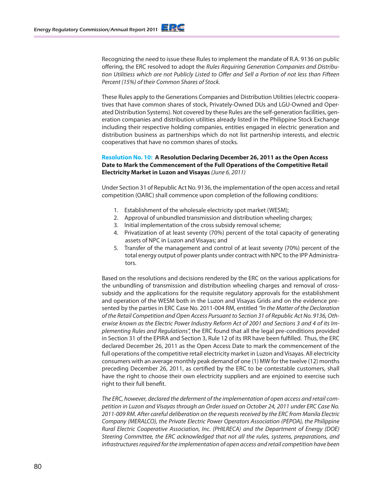Recognizing the need to issue these Rules to implement the mandate of R.A. 9136 on public offering, the ERC resolved to adopt the *Rules Requiring Generation Companies and Distribution Utilitiess which are not Publicly Listed to Offer and Sell a Portion of not less than Fifteen Percent (15%) of their Common Shares of Stock.* 

These Rules apply to the Generations Companies and Distribution Utilities (electric cooperatives that have common shares of stock, Privately-Owned DUs and LGU-Owned and Operated Distribution Systems). Not covered by these Rules are the self-generation facilities, generation companies and distribution utilities already listed in the Philippine Stock Exchange including their respective holding companies, entities engaged in electric generation and distribution business as partnerships which do not list partnership interests, and electric cooperatives that have no common shares of stocks.

#### **Resolution No. 10: A Resolution Declaring December 26, 2011 as the Open Access Date to Mark the Commencement of the Full Operations of the Competitive Retail Electricity Market in Luzon and Visayas** *(June 6, 2011)*

Under Section 31 of Republic Act No. 9136, the implementation of the open access and retail competition (OARC) shall commence upon completion of the following conditions:

- 1. Establishment of the wholesale electricity spot market (WESM);
- 2. Approval of unbundled transmission and distribution wheeling charges;
- 3. Initial implementation of the cross subsidy removal scheme;
- 4. Privatization of at least seventy (70%) percent of the total capacity of generating assets of NPC in Luzon and Visayas; and
- 5. Transfer of the management and control of at least seventy (70%) percent of the total energy output of power plants under contract with NPC to the IPP Administrators.

Based on the resolutions and decisions rendered by the ERC on the various applications for the unbundling of transmission and distribution wheeling charges and removal of crosssubsidy and the applications for the requisite regulatory approvals for the establishment and operation of the WESM both in the Luzon and Visayas Grids and on the evidence presented by the parties in ERC Case No. 2011-004 RM, entitled *"In the Matter of the Declaration of the Retail Competition and Open Access Pursuant to Section 31 of Republic Act No. 9136, Otherwise known as the Electric Power Industry Reform Act of 2001 and Sections 3 and 4 of its Implementing Rules and Regulations",* the ERC found that all the legal pre-conditions provided in Section 31 of the EPIRA and Section 3, Rule 12 of its IRR have been fulfilled. Thus, the ERC declared December 26, 2011 as the Open Access Date to mark the commencement of the full operations of the competitive retail electricity market in Luzon and Visayas. All electricity consumers with an average monthly peak demand of one (1) MW for the twelve (12) months preceding December 26, 2011, as certified by the ERC to be contestable customers, shall have the right to choose their own electricity suppliers and are enjoined to exercise such right to their full benefit.

*The ERC, however, declared the deferment of the implementation of open access and retail competition in Luzon and Visayas through an Order issued on October 24, 2011 under ERC Case No. 2011-009 RM. After careful deliberation on the requests received by the ERC from Manila Electric Company (MERALCO), the Private Electric Power Operators Association (PEPOA), the Philippine Rural Electric Cooperative Association, Inc. (PHILRECA) and the Department of Energy (DOE) Steering Committee, the ERC acknowledged that not all the rules, systems, preparations, and infrastructures required for the implementation of open access and retail competition have been*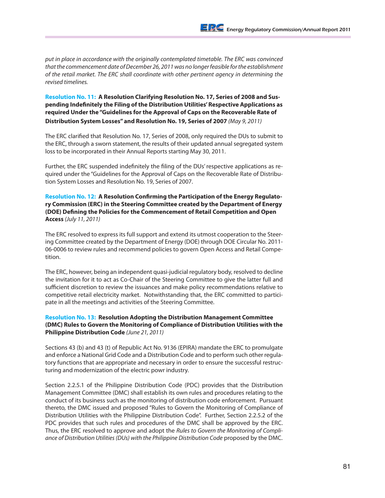*put in place in accordance with the originally contemplated timetable. The ERC was convinced that the commencement date of December 26, 2011 was no longer feasible for the establishment of the retail market. The ERC shall coordinate with other pertinent agency in determining the revised timelines.*

**Resolution No. 11: A Resolution Clarifying Resolution No. 17, Series of 2008 and Suspending Indefinitely the Filing of the Distribution Utilities' Respective Applications as required Under the "Guidelines for the Approval of Caps on the Recoverable Rate of Distribution System Losses" and Resolution No. 19, Series of 2007** *(May 9, 2011)*

The ERC clarified that Resolution No. 17, Series of 2008, only required the DUs to submit to the ERC, through a sworn statement, the results of their updated annual segregated system loss to be incorporated in their Annual Reports starting May 30, 2011.

Further, the ERC suspended indefinitely the filing of the DUs' respective applications as required under the "Guidelines for the Approval of Caps on the Recoverable Rate of Distribution System Losses and Resolution No. 19, Series of 2007.

**Resolution No. 12: A Resolution Confirming the Participation of the Energy Regulatory Commission (ERC) in the Steering Committee created by the Department of Energy (DOE) Defining the Policies for the Commencement of Retail Competition and Open Access** *(July 11, 2011)*

The ERC resolved to express its full support and extend its utmost cooperation to the Steering Committee created by the Department of Energy (DOE) through DOE Circular No. 2011- 06-0006 to review rules and recommend policies to govern Open Access and Retail Competition.

The ERC, however, being an independent quasi-judicial regulatory body, resolved to decline the invitation for it to act as Co-Chair of the Steering Committee to give the latter full and sufficient discretion to review the issuances and make policy recommendations relative to competitive retail electricity market. Notwithstanding that, the ERC committed to participate in all the meetings and activities of the Steering Committee.

#### **Resolution No. 13: Resolution Adopting the Distribution Management Committee (DMC) Rules to Govern the Monitoring of Compliance of Distribution Utilities with the Philippine Distribution Code** *(June 21, 2011)*

Sections 43 (b) and 43 (t) of Republic Act No. 9136 (EPIRA) mandate the ERC to promulgate and enforce a National Grid Code and a Distribution Code and to perform such other regulatory functions that are appropriate and necessary in order to ensure the successful restructuring and modernization of the electric powr industry.

Section 2.2.5.1 of the Philippine Distribution Code (PDC) provides that the Distribution Management Committee (DMC) shall establish its own rules and procedures relating to the conduct of its business such as the monitoring of distribution code enforcement. Pursuant thereto, the DMC issued and proposed "Rules to Govern the Monitoring of Compliance of Distribution Utilities with the Philippine Distribution Code". Further, Section 2.2.5.2 of the PDC provides that such rules and procedures of the DMC shall be approved by the ERC. Thus, the ERC resolved to approve and adopt the *Rules to Govern the Monitoring of Compliance of Distribution Utilities (DUs) with the Philippine Distribution Code* proposed by the DMC.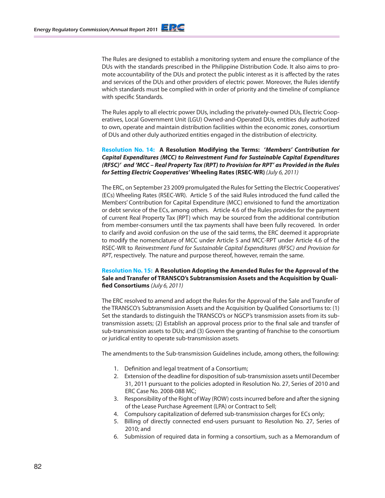The Rules are designed to establish a monitoring system and ensure the compliance of the DUs with the standards prescribed in the Philippine Distribution Code. It also aims to promote accountability of the DUs and protect the public interest as it is affected by the rates and services of the DUs and other providers of electric power. Moreover, the Rules identify which standards must be complied with in order of priority and the timeline of compliance with specific Standards.

The Rules apply to all electric power DUs, including the privately-owned DUs, Electric Cooperatives, Local Government Unit (LGU) Owned-and-Operated DUs, entities duly authorized to own, operate and maintain distribution facilities within the economic zones, consortium of DUs and other duly authorized entities engaged in the distribution of electricity.

#### **Resolution No. 14: A Resolution Modifying the Terms: '***Members' Contribution for Capital Expenditures (MCC) to Reinvestment Fund for Sustainable Capital Expenditures (RFSC)' and 'MCC – Real Property Tax (RPT) to Provision for RPT' as Provided in the Rules for Setting Electric Cooperatives'* **Wheeling Rates (RSEC-WR)** *(July 6, 2011)*

The ERC, on September 23 2009 promulgated the Rules for Setting the Electric Cooperatives' (ECs) Wheeling Rates (RSEC-WR). Article 5 of the said Rules introduced the fund called the Members' Contribution for Capital Expenditure (MCC) envisioned to fund the amortization or debt service of the ECs, among others. Article 4.6 of the Rules provides for the payment of current Real Property Tax (RPT) which may be sourced from the additional contribution from member-consumers until the tax payments shall have been fully recovered. In order to clarify and avoid confusion on the use of the said terms, the ERC deemed it appropriate to modify the nomenclature of MCC under Article 5 and MCC-RPT under Article 4.6 of the RSEC-WR to *Reinvestment Fund for Sustainable Capital Expenditures (RFSC) and Provision for RPT*, respectively. The nature and purpose thereof, however, remain the same.

#### **Resolution No. 15: A Resolution Adopting the Amended Rules for the Approval of the Sale and Transfer of TRANSCO's Subtransmission Assets and the Acquisition by Qualified Consortiums** *(July 6, 2011)*

The ERC resolved to amend and adopt the Rules for the Approval of the Sale and Transfer of the TRANSCO's Subtransmission Assets and the Acquisition by Qualified Consortiums to: (1) Set the standards to distinguish the TRANSCO's or NGCP's transmission assets from its subtransmission assets; (2) Establish an approval process prior to the final sale and transfer of sub-transmission assets to DUs; and (3) Govern the granting of franchise to the consortium or juridical entity to operate sub-transmission assets.

The amendments to the Sub-transmission Guidelines include, among others, the following:

- 1. Definition and legal treatment of a Consortium;
- 2. Extension of the deadline for disposition of sub-transmission assets until December 31, 2011 pursuant to the policies adopted in Resolution No. 27, Series of 2010 and ERC Case No. 2008-088 MC;
- 3. Responsibility of the Right of Way (ROW) costs incurred before and after the signing of the Lease Purchase Agreement (LPA) or Contract to Sell;
- 4. Compulsory capitalization of deferred sub-transmission charges for ECs only;
- 5. Billing of directly connected end-users pursuant to Resolution No. 27, Series of 2010; and
- 6. Submission of required data in forming a consortium, such as a Memorandum of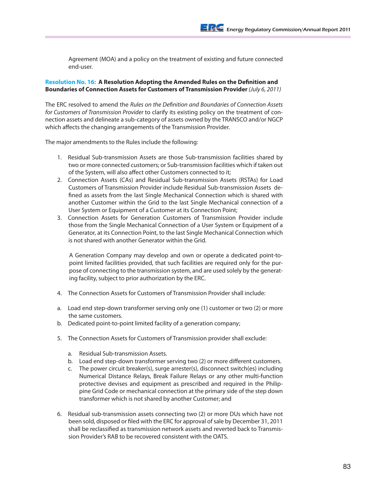Agreement (MOA) and a policy on the treatment of existing and future connected end-user.

#### **Resolution No. 16: A Resolution Adopting the Amended Rules on the Definition and Boundaries of Connection Assets for Customers of Transmission Provider** *(July 6, 2011)*

The ERC resolved to amend the *Rules on the Definition and Boundaries of Connection Assets for Customers of Transmission Provider* to clarify its existing policy on the treatment of connection assets and delineate a sub-category of assets owned by the TRANSCO and/or NGCP which affects the changing arrangements of the Transmission Provider.

The major amendments to the Rules include the following:

- 1. Residual Sub-transmission Assets are those Sub-transmission facilities shared by two or more connected customers; or Sub-transmission facilities which if taken out of the System, will also affect other Customers connected to it;
- 2. Connection Assets (CAs) and Residual Sub-transmission Assets (RSTAs) for Load Customers of Transmission Provider include Residual Sub-transmission Assets defined as assets from the last Single Mechanical Connection which is shared with another Customer within the Grid to the last Single Mechanical connection of a User System or Equipment of a Customer at its Connection Point;
- 3. Connection Assets for Generation Customers of Transmission Provider include those from the Single Mechanical Connection of a User System or Equipment of a Generator, at its Connection Point, to the last Single Mechanical Connection which is not shared with another Generator within the Grid.

A Generation Company may develop and own or operate a dedicated point-topoint limited facilities provided, that such facilities are required only for the purpose of connecting to the transmission system, and are used solely by the generating facility, subject to prior authorization by the ERC.

- 4. The Connection Assets for Customers of Transmission Provider shall include:
- a. Load end step-down transformer serving only one (1) customer or two (2) or more the same customers.
- b. Dedicated point-to-point limited facility of a generation company;
- 5. The Connection Assets for Customers of Transmission provider shall exclude:
	- a. Residual Sub-transmission Assets.
	- b. Load end step-down transformer serving two (2) or more different customers.
	- c. The power circuit breaker(s), surge arrester(s), disconnect switch(es) including Numerical Distance Relays, Break Failure Relays or any other multi-function protective devises and equipment as prescribed and required in the Philippine Grid Code or mechanical connection at the primary side of the step down transformer which is not shared by another Customer; and
- 6. Residual sub-transmission assets connecting two (2) or more DUs which have not been sold, disposed or filed with the ERC for approval of sale by December 31, 2011 shall be reclassified as transmission network assets and reverted back to Transmission Provider's RAB to be recovered consistent with the OATS.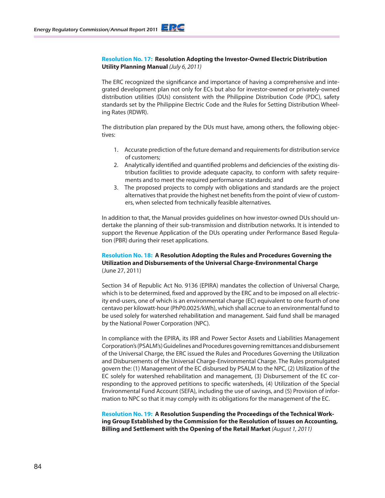#### **Resolution No. 17: Resolution Adopting the Investor-Owned Electric Distribution Utility Planning Manual** *(July 6, 2011)*

The ERC recognized the significance and importance of having a comprehensive and integrated development plan not only for ECs but also for investor-owned or privately-owned distribution utilities (DUs) consistent with the Philippine Distribution Code (PDC), safety standards set by the Philippine Electric Code and the Rules for Setting Distribution Wheeling Rates (RDWR).

The distribution plan prepared by the DUs must have, among others, the following objectives:

- 1. Accurate prediction of the future demand and requirements for distribution service of customers;
- 2. Analytically identified and quantified problems and deficiencies of the existing distribution facilities to provide adequate capacity, to conform with safety requirements and to meet the required performance standards; and
- 3. The proposed projects to comply with obligations and standards are the project alternatives that provide the highest net benefits from the point of view of customers, when selected from technically feasible alternatives.

In addition to that, the Manual provides guidelines on how investor-owned DUs should undertake the planning of their sub-transmission and distribution networks. It is intended to support the Revenue Application of the DUs operating under Performance Based Regulation (PBR) during their reset applications.

#### **Resolution No. 18: A Resolution Adopting the Rules and Procedures Governing the Utilization and Disbursements of the Universal Charge-Environmental Charge** (June 27, 2011)

Section 34 of Republic Act No. 9136 (EPIRA) mandates the collection of Universal Charge, which is to be determined, fixed and approved by the ERC and to be imposed on all electricity end-users, one of which is an environmental charge (EC) equivalent to one fourth of one centavo per kilowatt-hour (PhP0.0025/kWh), which shall accrue to an environmental fund to be used solely for watershed rehabilitation and management. Said fund shall be managed by the National Power Corporation (NPC).

In compliance with the EPIRA, its IRR and Power Sector Assets and Liabilities Management Corporation's (PSALM's) Guidelines and Procedures governing remittances and disbursement of the Universal Charge, the ERC issued the Rules and Procedures Governing the Utilization and Disbursements of the Universal Charge-Environmental Charge. The Rules promulgated govern the: (1) Management of the EC disbursed by PSALM to the NPC, (2) Utilization of the EC solely for watershed rehabilitation and management, (3) Disbursement of the EC corresponding to the approved petitions to specific watersheds, (4) Utilization of the Special Environmental Fund Account (SEFA), including the use of savings, and (5) Provision of information to NPC so that it may comply with its obligations for the management of the EC.

**Resolution No. 19: A Resolution Suspending the Proceedings of the Technical Working Group Established by the Commission for the Resolution of Issues on Accounting, Billing and Settlement with the Opening of the Retail Market** *(August 1, 2011)*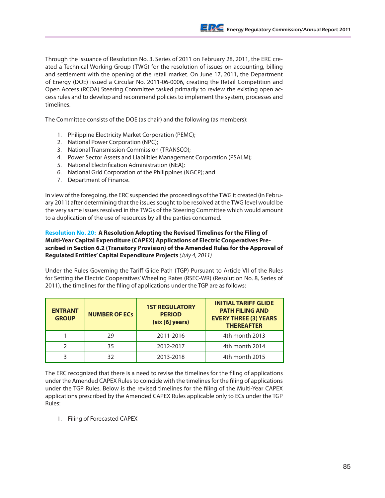Through the issuance of Resolution No. 3, Series of 2011 on February 28, 2011, the ERC created a Technical Working Group (TWG) for the resolution of issues on accounting, billing and settlement with the opening of the retail market. On June 17, 2011, the Department of Energy (DOE) issued a Circular No. 2011-06-0006, creating the Retail Competition and Open Access (RCOA) Steering Committee tasked primarily to review the existing open access rules and to develop and recommend policies to implement the system, processes and timelines.

The Committee consists of the DOE (as chair) and the following (as members):

- 1. Philippine Electricity Market Corporation (PEMC);
- 2. National Power Corporation (NPC);
- 3. National Transmission Commission (TRANSCO);
- 4. Power Sector Assets and Liabilities Management Corporation (PSALM);
- 5. National Electrification Administration (NEA);
- 6. National Grid Corporation of the Philippines (NGCP); and
- 7. Department of Finance.

In view of the foregoing, the ERC suspended the proceedings of the TWG it created (in February 2011) after determining that the issues sought to be resolved at the TWG level would be the very same issues resolved in the TWGs of the Steering Committee which would amount to a duplication of the use of resources by all the parties concerned.

#### **Resolution No. 20: A Resolution Adopting the Revised Timelines for the Filing of Multi-Year Capital Expenditure (CAPEX) Applications of Electric Cooperatives Prescribed in Section 6.2 (Transitory Provision) of the Amended Rules for the Approval of Regulated Entities' Capital Expenditure Projects** *(July 4, 2011)*

Under the Rules Governing the Tariff Glide Path (TGP) Pursuant to Article VII of the Rules for Setting the Electric Cooperatives' Wheeling Rates (RSEC-WR) (Resolution No. 8, Series of 2011), the timelines for the filing of applications under the TGP are as follows:

| <b>ENTRANT</b><br><b>GROUP</b> | <b>NUMBER OF ECS</b> | <b>1ST REGULATORY</b><br><b>PERIOD</b><br>(six [6] years) | <b>INITIAL TARIFF GLIDE</b><br><b>PATH FILING AND</b><br><b>EVERY THREE (3) YEARS</b><br><b>THEREAFTER</b> |
|--------------------------------|----------------------|-----------------------------------------------------------|------------------------------------------------------------------------------------------------------------|
|                                | 29                   | 2011-2016                                                 | 4th month 2013                                                                                             |
|                                | 35                   | 2012-2017                                                 | 4th month 2014                                                                                             |
|                                | 32                   | 2013-2018                                                 | 4th month 2015                                                                                             |

The ERC recognized that there is a need to revise the timelines for the filing of applications under the Amended CAPEX Rules to coincide with the timelines for the filing of applications under the TGP Rules. Below is the revised timelines for the filing of the Multi-Year CAPEX applications prescribed by the Amended CAPEX Rules applicable only to ECs under the TGP Rules:

1. Filing of Forecasted CAPEX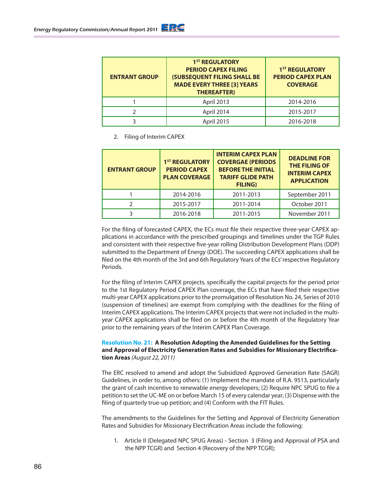| <b>ENTRANT GROUP</b> | <b>1ST REGULATORY</b><br><b>PERIOD CAPEX FILING</b><br><b>(SUBSEQUENT FILING SHALL BE)</b><br><b>MADE EVERY THREE [3] YEARS</b><br><b>THEREAFTER)</b> | <b>1ST REGULATORY</b><br><b>PERIOD CAPEX PLAN</b><br><b>COVERAGE</b> |
|----------------------|-------------------------------------------------------------------------------------------------------------------------------------------------------|----------------------------------------------------------------------|
|                      | <b>April 2013</b>                                                                                                                                     | 2014-2016                                                            |
|                      | April 2014                                                                                                                                            | 2015-2017                                                            |
|                      | <b>April 2015</b>                                                                                                                                     | 2016-2018                                                            |

2. Filing of Interim CAPEX

| <b>ENTRANT GROUP</b> | 1 <sup>ST</sup> REGULATORY<br><b>PERIOD CAPEX</b><br><b>PLAN COVERAGE</b> | <b>INTERIM CAPEX PLAN</b><br><b>COVERGAE (PERIODS</b><br><b>BEFORE THE INITIAL</b><br><b>TARIFF GLIDE PATH</b><br><b>FILING)</b> | <b>DEADLINE FOR</b><br><b>THE FILING OF</b><br><b>INTERIM CAPEX</b><br><b>APPLICATION</b> |
|----------------------|---------------------------------------------------------------------------|----------------------------------------------------------------------------------------------------------------------------------|-------------------------------------------------------------------------------------------|
|                      | 2014-2016                                                                 | 2011-2013                                                                                                                        | September 2011                                                                            |
|                      | 2015-2017                                                                 | 2011-2014                                                                                                                        | October 2011                                                                              |
|                      | 2016-2018                                                                 | 2011-2015                                                                                                                        | November 2011                                                                             |

For the filing of forecasted CAPEX, the ECs must file their respective three-year CAPEX applications in accordance with the prescribed groupings and timelines under the TGP Rules and consistent with their respective five-year rolling Distribution Development Plans (DDP) submitted to the Department of Energy (DOE). The succeeding CAPEX applications shall be filed on the 4th month of the 3rd and 6th Regulatory Years of the ECs' respective Regulatory Periods.

For the filing of Interim CAPEX projects, specifically the capital projects for the period prior to the 1st Regulatory Period CAPEX Plan coverage, the ECs that have filed their respective multi-year CAPEX applications prior to the promulgation of Resolution No. 24, Series of 2010 (suspension of timelines) are exempt from complying with the deadlines for the filing of Interim CAPEX applications. The Interim CAPEX projects that were not included in the multiyear CAPEX applications shall be filed on or before the 4th month of the Regulatory Year prior to the remaining years of the Interim CAPEX Plan Coverage.

#### **Resolution No. 21: A Resolution Adopting the Amended Guidelines for the Setting and Approval of Electricity Generation Rates and Subsidies for Missionary Electrification Areas** *(August 22, 2011)*

The ERC resolved to amend and adopt the Subsidized Approved Generation Rate (SAGR) Guidelines, in order to, among others: (1) Implement the mandate of R.A. 9513, particularly the grant of cash incentive to renewable energy developers; (2) Require NPC SPUG to file a petition to set the UC-ME on or before March 15 of every calendar year; (3) Dispense with the filing of quarterly true-up petition; and (4) Conform with the FIT Rules.

The amendments to the Guidelines for the Setting and Approval of Electricity Generation Rates and Subsidies for Missionary Electrification Areas include the following:

1. Article II (Delegated NPC SPUG Areas) - Section 3 (Filing and Approval of PSA and the NPP TCGR) and Section 4 (Recovery of the NPP TCGR);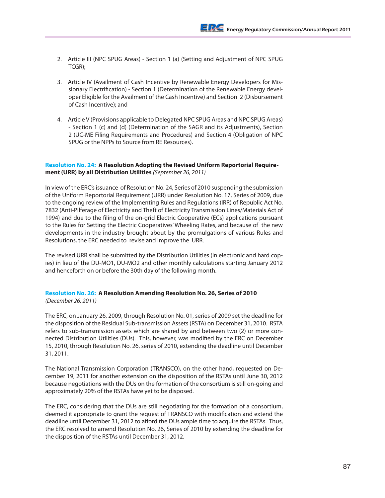- 2. Article III (NPC SPUG Areas) Section 1 (a) (Setting and Adjustment of NPC SPUG TCGR);
- 3. Article IV (Availment of Cash Incentive by Renewable Energy Developers for Missionary Electrification) - Section 1 (Determination of the Renewable Energy developer Eligible for the Availment of the Cash Incentive) and Section 2 (Disbursement of Cash Incentive); and
- 4. Article V (Provisions applicable to Delegated NPC SPUG Areas and NPC SPUG Areas) - Section 1 (c) and (d) (Determination of the SAGR and its Adjustments), Section 2 (UC-ME Filing Requirements and Procedures) and Section 4 (Obligation of NPC SPUG or the NPPs to Source from RE Resources).

#### **Resolution No. 24: A Resolution Adopting the Revised Uniform Reportorial Requirement (URR) by all Distribution Utilities** *(September 26, 2011)*

In view of the ERC's issuance of Resolution No. 24, Series of 2010 suspending the submission of the Uniform Reportorial Requirement (URR) under Resolution No. 17, Series of 2009, due to the ongoing review of the Implementing Rules and Regulations (IRR) of Republic Act No. 7832 (Anti-Pilferage of Electricity and Theft of Electricity Transmission Lines/Materials Act of 1994) and due to the filing of the on-grid Electric Cooperative (ECs) applications pursuant to the Rules for Setting the Electric Cooperatives' Wheeling Rates, and because of the new developments in the industry brought about by the promulgations of various Rules and Resolutions, the ERC needed to revise and improve the URR.

The revised URR shall be submitted by the Distribution Utilities (in electronic and hard copies) in lieu of the DU-MO1, DU-MO2 and other monthly calculations starting January 2012 and henceforth on or before the 30th day of the following month.

#### **Resolution No. 26: A Resolution Amending Resolution No. 26, Series of 2010**  *(December 26, 2011)*

The ERC, on January 26, 2009, through Resolution No. 01, series of 2009 set the deadline for the disposition of the Residual Sub-transmission Assets (RSTA) on December 31, 2010. RSTA refers to sub-transmission assets which are shared by and between two (2) or more connected Distribution Utilities (DUs). This, however, was modified by the ERC on December 15, 2010, through Resolution No. 26, series of 2010, extending the deadline until December 31, 2011.

The National Transmission Corporation (TRANSCO), on the other hand, requested on December 19, 2011 for another extension on the disposition of the RSTAs until June 30, 2012 because negotiations with the DUs on the formation of the consortium is still on-going and approximately 20% of the RSTAs have yet to be disposed.

The ERC, considering that the DUs are still negotiating for the formation of a consortium, deemed it appropriate to grant the request of TRANSCO with modification and extend the deadline until December 31, 2012 to afford the DUs ample time to acquire the RSTAs. Thus, the ERC resolved to amend Resolution No. 26, Series of 2010 by extending the deadline for the disposition of the RSTAs until December 31, 2012.